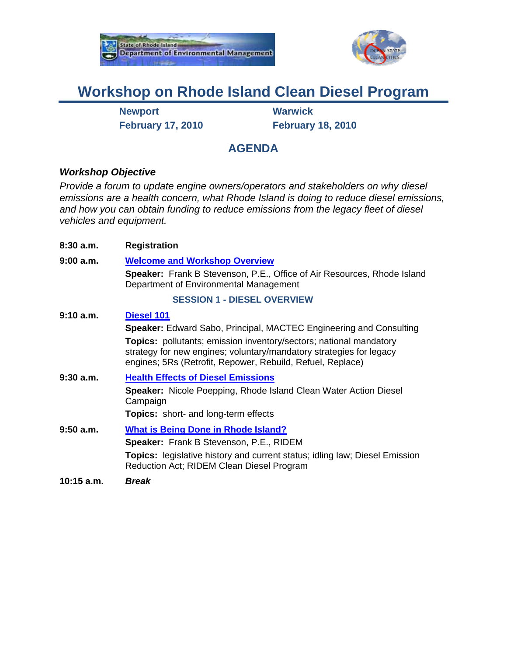



## **Workshop on Rhode Island Clean Diesel Program**

**Newport Warwick** 

**February 17, 2010 February 18, 2010** 

## **AGENDA**

## *Workshop Objective*

*Provide a forum to update engine owners/operators and stakeholders on why diesel emissions are a health concern, what Rhode Island is doing to reduce diesel emissions, and how you can obtain funding to reduce emissions from the legacy fleet of diesel vehicles and equipment.*

| 8:30a.m.   | <b>Registration</b>                                                                                                                                                                                            |
|------------|----------------------------------------------------------------------------------------------------------------------------------------------------------------------------------------------------------------|
| 9:00a.m.   | <b>Welcome and Workshop Overview</b>                                                                                                                                                                           |
|            | <b>Speaker:</b> Frank B Stevenson, P.E., Office of Air Resources, Rhode Island<br>Department of Environmental Management                                                                                       |
|            | <b>SESSION 1 - DIESEL OVERVIEW</b>                                                                                                                                                                             |
| 9:10a.m.   | Diesel 101                                                                                                                                                                                                     |
|            | <b>Speaker:</b> Edward Sabo, Principal, MACTEC Engineering and Consulting                                                                                                                                      |
|            | <b>Topics:</b> pollutants; emission inventory/sectors; national mandatory<br>strategy for new engines; voluntary/mandatory strategies for legacy<br>engines; 5Rs (Retrofit, Repower, Rebuild, Refuel, Replace) |
| 9:30a.m.   | <b>Health Effects of Diesel Emissions</b>                                                                                                                                                                      |
|            | <b>Speaker:</b> Nicole Poepping, Rhode Island Clean Water Action Diesel<br>Campaign                                                                                                                            |
|            | <b>Topics:</b> short- and long-term effects                                                                                                                                                                    |
| 9:50a.m.   | <b>What is Being Done in Rhode Island?</b>                                                                                                                                                                     |
|            | <b>Speaker:</b> Frank B Stevenson, P.E., RIDEM                                                                                                                                                                 |
|            | <b>Topics:</b> legislative history and current status; idling law; Diesel Emission<br>Reduction Act; RIDEM Clean Diesel Program                                                                                |
| 10:15 a.m. | Break                                                                                                                                                                                                          |